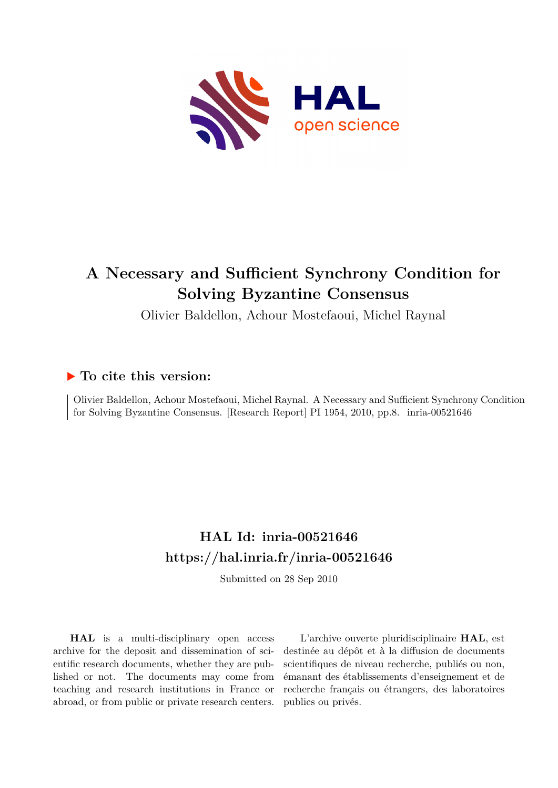

# **A Necessary and Sufficient Synchrony Condition for Solving Byzantine Consensus**

Olivier Baldellon, Achour Mostefaoui, Michel Raynal

## **To cite this version:**

Olivier Baldellon, Achour Mostefaoui, Michel Raynal. A Necessary and Sufficient Synchrony Condition for Solving Byzantine Consensus. [Research Report] PI 1954, 2010, pp.8. inria-00521646

# **HAL Id: inria-00521646 <https://hal.inria.fr/inria-00521646>**

Submitted on 28 Sep 2010

**HAL** is a multi-disciplinary open access archive for the deposit and dissemination of scientific research documents, whether they are published or not. The documents may come from teaching and research institutions in France or abroad, or from public or private research centers.

L'archive ouverte pluridisciplinaire **HAL**, est destinée au dépôt et à la diffusion de documents scientifiques de niveau recherche, publiés ou non, émanant des établissements d'enseignement et de recherche français ou étrangers, des laboratoires publics ou privés.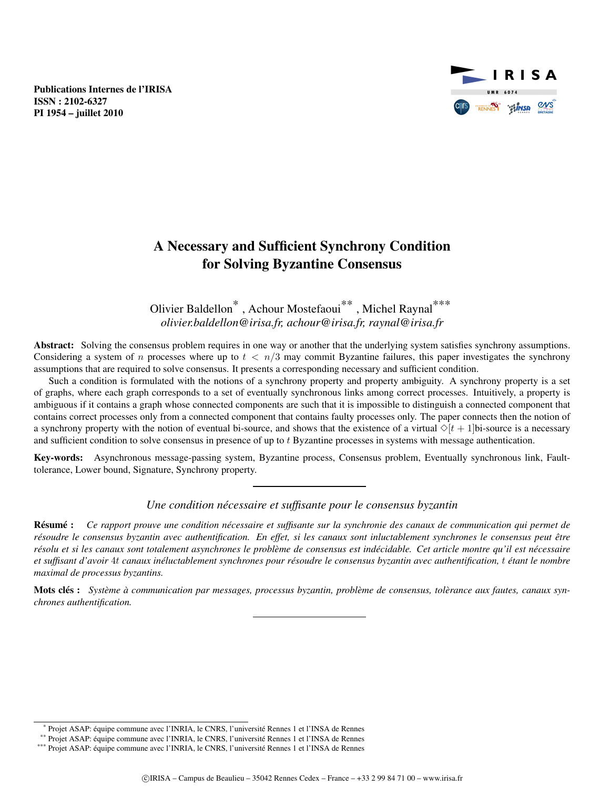*<b>ANSA* 

Publications Internes de l'IRISA ISSN : 2102-6327 PI 1954 – juillet 2010

## A Necessary and Sufficient Synchrony Condition for Solving Byzantine Consensus

Olivier Baldellon\* , Achour Mostefaoui\*\* , Michel Raynal\*\*\* *olivier.baldellon@irisa.fr, achour@irisa.fr, raynal@irisa.fr*

Abstract: Solving the consensus problem requires in one way or another that the underlying system satisfies synchrony assumptions. Considering a system of n processes where up to  $t < n/3$  may commit Byzantine failures, this paper investigates the synchrony assumptions that are required to solve consensus. It presents a corresponding necessary and sufficient condition.

Such a condition is formulated with the notions of a synchrony property and property ambiguity. A synchrony property is a set of graphs, where each graph corresponds to a set of eventually synchronous links among correct processes. Intuitively, a property is ambiguous if it contains a graph whose connected components are such that it is impossible to distinguish a connected component that contains correct processes only from a connected component that contains faulty processes only. The paper connects then the notion of a synchrony property with the notion of eventual bi-source, and shows that the existence of a virtual  $\Diamond$ [t + 1]bi-source is a necessary and sufficient condition to solve consensus in presence of up to t Byzantine processes in systems with message authentication.

Key-words: Asynchronous message-passing system, Byzantine process, Consensus problem, Eventually synchronous link, Faulttolerance, Lower bound, Signature, Synchrony property.

*Une condition nécessaire et suffisante pour le consensus byzantin*

Résumé : *Ce rapport prouve une condition nécessaire et suffisante sur la synchronie des canaux de communication qui permet de résoudre le consensus byzantin avec authentification. En effet, si les canaux sont inluctablement synchrones le consensus peut être résolu et si les canaux sont totalement asynchrones le problème de consensus est indécidable. Cet article montre qu'il est nécessaire et suffisant d'avoir* 4t *canaux inéluctablement synchrones pour résoudre le consensus byzantin avec authentification,* t *étant le nombre maximal de processus byzantins.*

Mots clés : *Système à communication par messages, processus byzantin, problème de consensus, tolèrance aux fautes, canaux synchrones authentification.*

Projet ASAP: équipe commune avec l'INRIA, le CNRS, l'université Rennes 1 et l'INSA de Rennes

<sup>\*\*</sup> Projet ASAP: équipe commune avec l'INRIA, le CNRS, l'université Rennes 1 et l'INSA de Rennes

<sup>\*\*\*</sup> Projet ASAP: équipe commune avec l'INRIA, le CNRS, l'université Rennes 1 et l'INSA de Rennes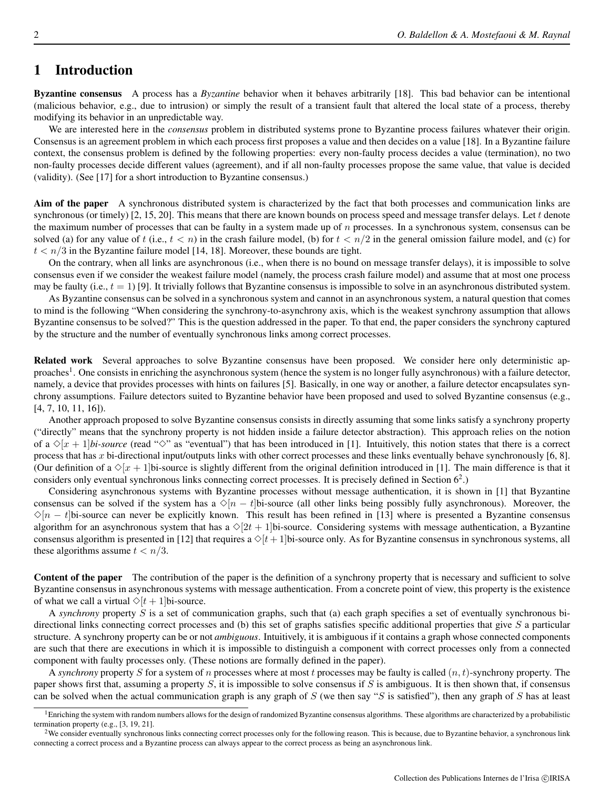#### 1 Introduction

Byzantine consensus A process has a *Byzantine* behavior when it behaves arbitrarily [18]. This bad behavior can be intentional (malicious behavior, e.g., due to intrusion) or simply the result of a transient fault that altered the local state of a process, thereby modifying its behavior in an unpredictable way.

We are interested here in the *consensus* problem in distributed systems prone to Byzantine process failures whatever their origin. Consensus is an agreement problem in which each process first proposes a value and then decides on a value [18]. In a Byzantine failure context, the consensus problem is defined by the following properties: every non-faulty process decides a value (termination), no two non-faulty processes decide different values (agreement), and if all non-faulty processes propose the same value, that value is decided (validity). (See [17] for a short introduction to Byzantine consensus.)

Aim of the paper A synchronous distributed system is characterized by the fact that both processes and communication links are synchronous (or timely) [2, 15, 20]. This means that there are known bounds on process speed and message transfer delays. Let t denote the maximum number of processes that can be faulty in a system made up of  $n$  processes. In a synchronous system, consensus can be solved (a) for any value of  $t$  (i.e.,  $t < n$ ) in the crash failure model, (b) for  $t < n/2$  in the general omission failure model, and (c) for  $t < n/3$  in the Byzantine failure model [14, 18]. Moreover, these bounds are tight.

On the contrary, when all links are asynchronous (i.e., when there is no bound on message transfer delays), it is impossible to solve consensus even if we consider the weakest failure model (namely, the process crash failure model) and assume that at most one process may be faulty (i.e.,  $t = 1$ ) [9]. It trivially follows that Byzantine consensus is impossible to solve in an asynchronous distributed system.

As Byzantine consensus can be solved in a synchronous system and cannot in an asynchronous system, a natural question that comes to mind is the following "When considering the synchrony-to-asynchrony axis, which is the weakest synchrony assumption that allows Byzantine consensus to be solved?" This is the question addressed in the paper. To that end, the paper considers the synchrony captured by the structure and the number of eventually synchronous links among correct processes.

Related work Several approaches to solve Byzantine consensus have been proposed. We consider here only deterministic approaches<sup>1</sup>. One consists in enriching the asynchronous system (hence the system is no longer fully asynchronous) with a failure detector, namely, a device that provides processes with hints on failures [5]. Basically, in one way or another, a failure detector encapsulates synchrony assumptions. Failure detectors suited to Byzantine behavior have been proposed and used to solved Byzantine consensus (e.g., [4, 7, 10, 11, 16]).

Another approach proposed to solve Byzantine consensus consists in directly assuming that some links satisfy a synchrony property ("directly" means that the synchrony property is not hidden inside a failure detector abstraction). This approach relies on the notion of a  $\Diamond [x + 1]$ *bi-source* (read " $\Diamond$ " as "eventual") that has been introduced in [1]. Intuitively, this notion states that there is a correct process that has x bi-directional input/outputs links with other correct processes and these links eventually behave synchronously [6, 8]. (Our definition of a  $\Diamond [x + 1]$ bi-source is slightly different from the original definition introduced in [1]. The main difference is that it considers only eventual synchronous links connecting correct processes. It is precisely defined in Section  $6<sup>2</sup>$ .)

Considering asynchronous systems with Byzantine processes without message authentication, it is shown in [1] that Byzantine consensus can be solved if the system has a  $\Diamond [n - t]$ bi-source (all other links being possibly fully asynchronous). Moreover, the  $\Diamond$ [n – t]bi-source can never be explicitly known. This result has been refined in [13] where is presented a Byzantine consensus algorithm for an asynchronous system that has a  $\Diamond$ [2t + 1]bi-source. Considering systems with message authentication, a Byzantine consensus algorithm is presented in [12] that requires a  $\Diamond$ [t + 1]bi-source only. As for Byzantine consensus in synchronous systems, all these algorithms assume  $t < n/3$ .

Content of the paper The contribution of the paper is the definition of a synchrony property that is necessary and sufficient to solve Byzantine consensus in asynchronous systems with message authentication. From a concrete point of view, this property is the existence of what we call a virtual  $\Diamond$ [t + 1]bi-source.

A *synchrony* property S is a set of communication graphs, such that (a) each graph specifies a set of eventually synchronous bidirectional links connecting correct processes and (b) this set of graphs satisfies specific additional properties that give  $S$  a particular structure. A synchrony property can be or not *ambiguous*. Intuitively, it is ambiguous if it contains a graph whose connected components are such that there are executions in which it is impossible to distinguish a component with correct processes only from a connected component with faulty processes only. (These notions are formally defined in the paper).

A *synchrony* property S for a system of n processes where at most t processes may be faulty is called  $(n, t)$ -synchrony property. The paper shows first that, assuming a property  $S$ , it is impossible to solve consensus if  $S$  is ambiguous. It is then shown that, if consensus can be solved when the actual communication graph is any graph of  $S$  (we then say "S is satisfied"), then any graph of  $S$  has at least

<sup>&</sup>lt;sup>1</sup>Enriching the system with random numbers allows for the design of randomized Byzantine consensus algorithms. These algorithms are characterized by a probabilistic termination property (e.g., [3, 19, 21].

 $2$ We consider eventually synchronous links connecting correct processes only for the following reason. This is because, due to Byzantine behavior, a synchronous link connecting a correct process and a Byzantine process can always appear to the correct process as being an asynchronous link.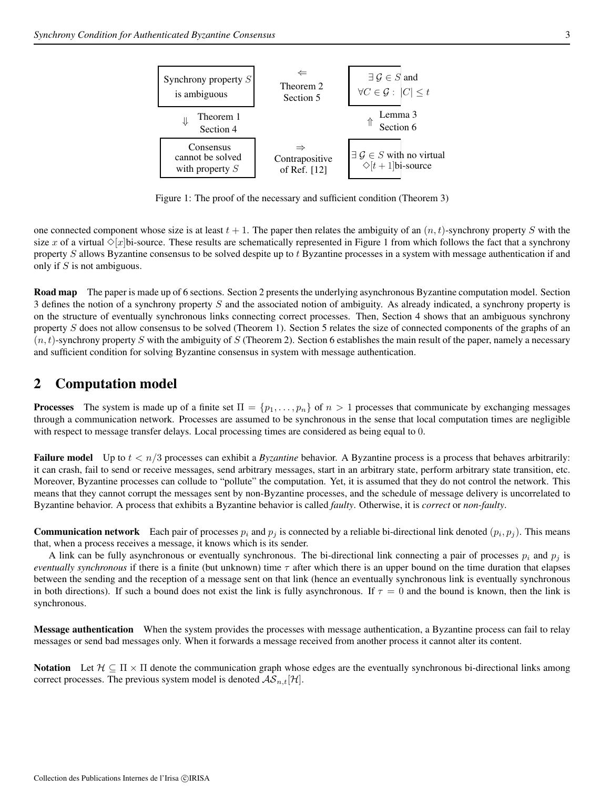

Figure 1: The proof of the necessary and sufficient condition (Theorem 3)

one connected component whose size is at least  $t + 1$ . The paper then relates the ambiguity of an  $(n, t)$ -synchrony property S with the size x of a virtual  $\Diamond[x]$ bi-source. These results are schematically represented in Figure 1 from which follows the fact that a synchrony property S allows Byzantine consensus to be solved despite up to t Byzantine processes in a system with message authentication if and only if  $S$  is not ambiguous.

Road map The paper is made up of 6 sections. Section 2 presents the underlying asynchronous Byzantine computation model. Section 3 defines the notion of a synchrony property S and the associated notion of ambiguity. As already indicated, a synchrony property is on the structure of eventually synchronous links connecting correct processes. Then, Section 4 shows that an ambiguous synchrony property S does not allow consensus to be solved (Theorem 1). Section 5 relates the size of connected components of the graphs of an  $(n, t)$ -synchrony property S with the ambiguity of S (Theorem 2). Section 6 establishes the main result of the paper, namely a necessary and sufficient condition for solving Byzantine consensus in system with message authentication.

#### 2 Computation model

**Processes** The system is made up of a finite set  $\Pi = \{p_1, \ldots, p_n\}$  of  $n > 1$  processes that communicate by exchanging messages through a communication network. Processes are assumed to be synchronous in the sense that local computation times are negligible with respect to message transfer delays. Local processing times are considered as being equal to 0.

Failure model Up to  $t < n/3$  processes can exhibit a *Byzantine* behavior. A Byzantine process is a process that behaves arbitrarily: it can crash, fail to send or receive messages, send arbitrary messages, start in an arbitrary state, perform arbitrary state transition, etc. Moreover, Byzantine processes can collude to "pollute" the computation. Yet, it is assumed that they do not control the network. This means that they cannot corrupt the messages sent by non-Byzantine processes, and the schedule of message delivery is uncorrelated to Byzantine behavior. A process that exhibits a Byzantine behavior is called *faulty*. Otherwise, it is *correct* or *non-faulty*.

**Communication network** Each pair of processes  $p_i$  and  $p_j$  is connected by a reliable bi-directional link denoted  $(p_i, p_j)$ . This means that, when a process receives a message, it knows which is its sender.

A link can be fully asynchronous or eventually synchronous. The bi-directional link connecting a pair of processes  $p_i$  and  $p_j$  is *eventually synchronous* if there is a finite (but unknown) time  $\tau$  after which there is an upper bound on the time duration that elapses between the sending and the reception of a message sent on that link (hence an eventually synchronous link is eventually synchronous in both directions). If such a bound does not exist the link is fully asynchronous. If  $\tau = 0$  and the bound is known, then the link is synchronous.

Message authentication When the system provides the processes with message authentication, a Byzantine process can fail to relay messages or send bad messages only. When it forwards a message received from another process it cannot alter its content.

Notation Let  $\mathcal{H} \subseteq \Pi \times \Pi$  denote the communication graph whose edges are the eventually synchronous bi-directional links among correct processes. The previous system model is denoted  $AS_{n,t}[\mathcal{H}]$ .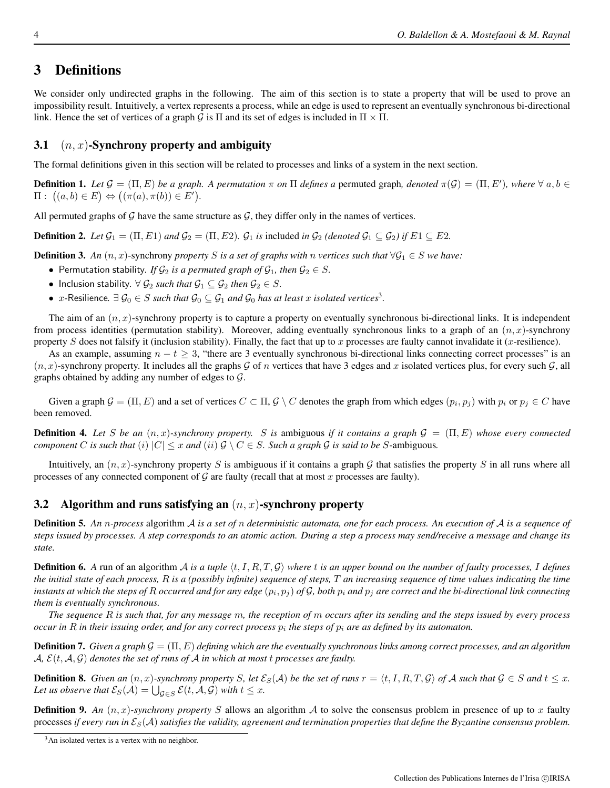## 3 Definitions

We consider only undirected graphs in the following. The aim of this section is to state a property that will be used to prove an impossibility result. Intuitively, a vertex represents a process, while an edge is used to represent an eventually synchronous bi-directional link. Hence the set of vertices of a graph G is  $\Pi$  and its set of edges is included in  $\Pi \times \Pi$ .

#### 3.1  $(n, x)$ -Synchrony property and ambiguity

The formal definitions given in this section will be related to processes and links of a system in the next section.

**Definition 1.** Let  $\mathcal{G} = (\Pi, E)$  be a graph. A permutation  $\pi$  on  $\Pi$  defines a permuted graph, denoted  $\pi(\mathcal{G}) = (\Pi, E')$ , where  $\forall$  a,  $b \in$  $\Pi: ((a, b) \in E) \Leftrightarrow ((\pi(a), \pi(b)) \in E').$ 

All permuted graphs of  $G$  have the same structure as  $G$ , they differ only in the names of vertices.

**Definition 2.** Let  $\mathcal{G}_1 = (\Pi, E1)$  and  $\mathcal{G}_2 = (\Pi, E2)$ .  $\mathcal{G}_1$  is included in  $\mathcal{G}_2$  (denoted  $\mathcal{G}_1 \subseteq \mathcal{G}_2$ ) if  $E1 \subseteq E2$ .

**Definition 3.** An  $(n, x)$ -synchrony *property* S *is a set of graphs with* n *vertices such that*  $\forall G_1 \in S$  *we have:* 

- Permutation stability. If  $\mathcal{G}_2$  *is a permuted graph of*  $\mathcal{G}_1$ *, then*  $\mathcal{G}_2 \in S$ *.*
- Inclusion stability.  $\forall \mathcal{G}_2$  *such that*  $\mathcal{G}_1 \subseteq \mathcal{G}_2$  *then*  $\mathcal{G}_2 \in S$ *.*
- $x$ -Resilience.  $\exists \mathcal{G}_0 \in S$  *such that*  $\mathcal{G}_0 \subseteq \mathcal{G}_1$  *and*  $\mathcal{G}_0$  *has at least* x *isolated vertices*<sup>3</sup>.

The aim of an  $(n, x)$ -synchrony property is to capture a property on eventually synchronous bi-directional links. It is independent from process identities (permutation stability). Moreover, adding eventually synchronous links to a graph of an  $(n, x)$ -synchrony property S does not falsify it (inclusion stability). Finally, the fact that up to x processes are faulty cannot invalidate it (x-resilience).

As an example, assuming  $n - t \geq 3$ , "there are 3 eventually synchronous bi-directional links connecting correct processes" is an  $(n, x)$ -synchrony property. It includes all the graphs G of n vertices that have 3 edges and x isolated vertices plus, for every such G, all graphs obtained by adding any number of edges to G.

Given a graph  $G = (\Pi, E)$  and a set of vertices  $C \subset \Pi, G \setminus C$  denotes the graph from which edges  $(p_i, p_j)$  with  $p_i$  or  $p_j \in C$  have been removed.

**Definition 4.** Let S be an  $(n, x)$ -synchrony property. S is ambiguous if it contains a graph  $\mathcal{G} = (\Pi, E)$  whose every connected *component* C is such that (i)  $|C| \leq x$  and (ii)  $\mathcal{G} \setminus C \in S$ . Such a graph  $\mathcal{G}$  is said to be S-ambiguous.

Intuitively, an  $(n, x)$ -synchrony property S is ambiguous if it contains a graph G that satisfies the property S in all runs where all processes of any connected component of  $\mathcal G$  are faulty (recall that at most x processes are faulty).

#### 3.2 Algorithm and runs satisfying an  $(n, x)$ -synchrony property

Definition 5. *An* n*-process* algorithm A *is a set of* n *deterministic automata, one for each process. An execution of* A *is a sequence of steps issued by processes. A step corresponds to an atomic action. During a step a process may send/receive a message and change its state.*

**Definition 6.** A run of an algorithm A is a tuple  $\langle t, I, R, T, \mathcal{G} \rangle$  where t is an upper bound on the number of faulty processes, I defines *the initial state of each process,* R *is a (possibly infinite) sequence of steps,* T *an increasing sequence of time values indicating the time* instants at which the steps of  $R$  occurred and for any edge  $(p_i, p_j)$  of  $\mathcal G$ , both  $p_i$  and  $p_j$  are correct and the bi-directional link connecting *them is eventually synchronous.*

*The sequence* R *is such that, for any message* m*, the reception of* m *occurs after its sending and the steps issued by every process*  $occur$  in  $R$  in their issuing order, and for any correct process  $p_i$  the steps of  $p_i$  are as defined by its automaton.

Definition 7. *Given a graph* G = (Π, E) *defining which are the eventually synchronous links among correct processes, and an algorithm* A*,* E(t, A, G) *denotes the set of runs of* A *in which at most* t *processes are faulty.*

**Definition 8.** Given an  $(n, x)$ -synchrony property S, let  $\mathcal{E}_S(\mathcal{A})$  be the set of runs  $r = \langle t, I, R, T, \mathcal{G} \rangle$  of  $\mathcal{A}$  such that  $\mathcal{G} \in S$  and  $t \leq x$ . Let us observe that  $\mathcal{E}_S(\mathcal{A}) = \bigcup_{\mathcal{G} \in S} \mathcal{E}(t, \mathcal{A}, \mathcal{G})$  with  $t \leq x$ .

**Definition 9.** An  $(n, x)$ -synchrony property S allows an algorithm A to solve the consensus problem in presence of up to x faulty processes *if every run in*  $\mathcal{E}_S(\mathcal{A})$  *satisfies the validity, agreement and termination properties that define the Byzantine consensus problem.* 

<sup>&</sup>lt;sup>3</sup>An isolated vertex is a vertex with no neighbor.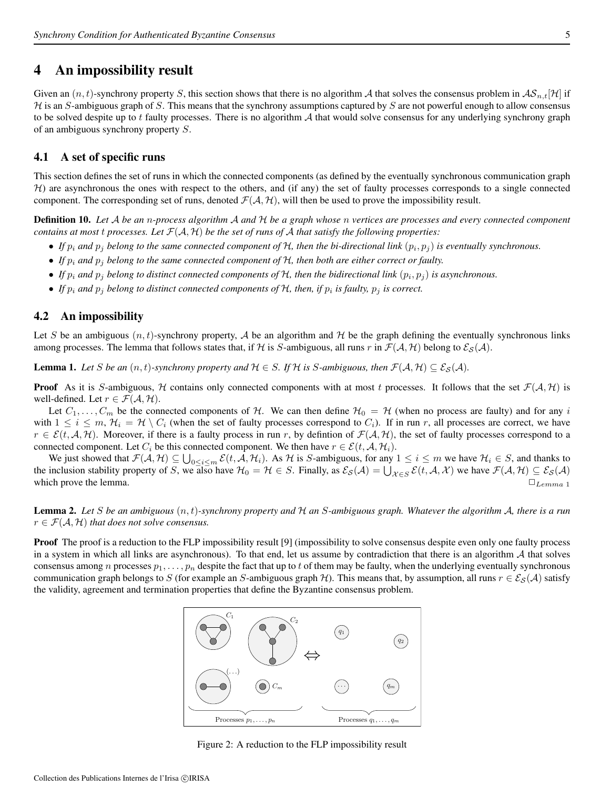### 4 An impossibility result

Given an  $(n, t)$ -synchrony property S, this section shows that there is no algorithm A that solves the consensus problem in  $\mathcal{AS}_{n,t}[\mathcal{H}]$  if  $H$  is an S-ambiguous graph of S. This means that the synchrony assumptions captured by S are not powerful enough to allow consensus to be solved despite up to t faulty processes. There is no algorithm  $A$  that would solve consensus for any underlying synchrony graph of an ambiguous synchrony property S.

#### 4.1 A set of specific runs

This section defines the set of runs in which the connected components (as defined by the eventually synchronous communication graph  $H$ ) are asynchronous the ones with respect to the others, and (if any) the set of faulty processes corresponds to a single connected component. The corresponding set of runs, denoted  $\mathcal{F}(\mathcal{A}, \mathcal{H})$ , will then be used to prove the impossibility result.

Definition 10. *Let* A *be an* n*-process algorithm* A *and* H *be a graph whose* n *vertices are processes and every connected component contains at most t processes. Let*  $\mathcal{F}(\mathcal{A}, \mathcal{H})$  *be the set of runs of*  $\mathcal{A}$  *that satisfy the following properties:* 

- If  $p_i$  and  $p_j$  belong to the same connected component of H, then the bi-directional link  $(p_i, p_j)$  is eventually synchronous.
- If  $p_i$  and  $p_j$  belong to the same connected component of  $H$ , then both are either correct or faulty.
- If  $p_i$  and  $p_j$  belong to distinct connected components of  $H$ , then the bidirectional link  $(p_i, p_j)$  is asynchronous.
- If  $p_i$  and  $p_j$  belong to distinct connected components of  $H$ , then, if  $p_i$  is faulty,  $p_j$  is correct.

#### 4.2 An impossibility

Let S be an ambiguous  $(n, t)$ -synchrony property, A be an algorithm and H be the graph defining the eventually synchronous links among processes. The lemma that follows states that, if H is S-ambiguous, all runs r in  $\mathcal{F}(\mathcal{A}, \mathcal{H})$  belong to  $\mathcal{E}_{\mathcal{S}}(\mathcal{A})$ .

**Lemma 1.** Let S be an  $(n, t)$ -synchrony property and  $H \in S$ . If H is S-ambiguous, then  $\mathcal{F}(\mathcal{A}, \mathcal{H}) \subseteq \mathcal{E}_{S}(\mathcal{A})$ .

**Proof** As it is S-ambiguous, H contains only connected components with at most t processes. It follows that the set  $\mathcal{F}(\mathcal{A}, \mathcal{H})$  is well-defined. Let  $r \in \mathcal{F}(\mathcal{A}, \mathcal{H})$ .

Let  $C_1, \ldots, C_m$  be the connected components of H. We can then define  $\mathcal{H}_0 = \mathcal{H}$  (when no process are faulty) and for any i with  $1 \leq i \leq m$ ,  $\mathcal{H}_i = \mathcal{H} \setminus C_i$  (when the set of faulty processes correspond to  $C_i$ ). If in run r, all processes are correct, we have  $r \in \mathcal{E}(t, \mathcal{A}, \mathcal{H})$ . Moreover, if there is a faulty process in run r, by defintion of  $\mathcal{F}(\mathcal{A}, \mathcal{H})$ , the set of faulty processes correspond to a connected component. Let  $C_i$  be this connected component. We then have  $r \in \mathcal{E}(t, \mathcal{A}, \mathcal{H}_i)$ .

We just showed that  $\mathcal{F}(\mathcal{A},\mathcal{H})\subseteq\bigcup_{0\leq i\leq m}\mathcal{E}(t,\mathcal{A},\mathcal{H}_i)$ . As  $\mathcal{H}$  is S-ambiguous, for any  $1\leq i\leq m$  we have  $\mathcal{H}_i\in S$ , and thanks to the inclusion stability property of S, we also have  $H_0 = H \in S$ . Finally, as  $\mathcal{E}_{S}(\mathcal{A}) = \bigcup_{\mathcal{X} \in S} \mathcal{E}(t, \mathcal{A}, \mathcal{X})$  we have  $\mathcal{F}(\mathcal{A}, \mathcal{H}) \subseteq \mathcal{E}_{S}(\mathcal{A})$ which prove the lemma. ✷Lemma <sup>1</sup>

Lemma 2. *Let* S *be an ambiguous* (n, t)*-synchrony property and* H *an* S*-ambiguous graph. Whatever the algorithm* A*, there is a run*  $r \in \mathcal{F}(\mathcal{A}, \mathcal{H})$  *that does not solve consensus.* 

**Proof** The proof is a reduction to the FLP impossibility result [9] (impossibility to solve consensus despite even only one faulty process in a system in which all links are asynchronous). To that end, let us assume by contradiction that there is an algorithm  $A$  that solves consensus among n processes  $p_1, \ldots, p_n$  despite the fact that up to t of them may be faulty, when the underlying eventually synchronous communication graph belongs to S (for example an S-ambiguous graph H). This means that, by assumption, all runs  $r \in \mathcal{E}_{S}(\mathcal{A})$  satisfy the validity, agreement and termination properties that define the Byzantine consensus problem.



Figure 2: A reduction to the FLP impossibility result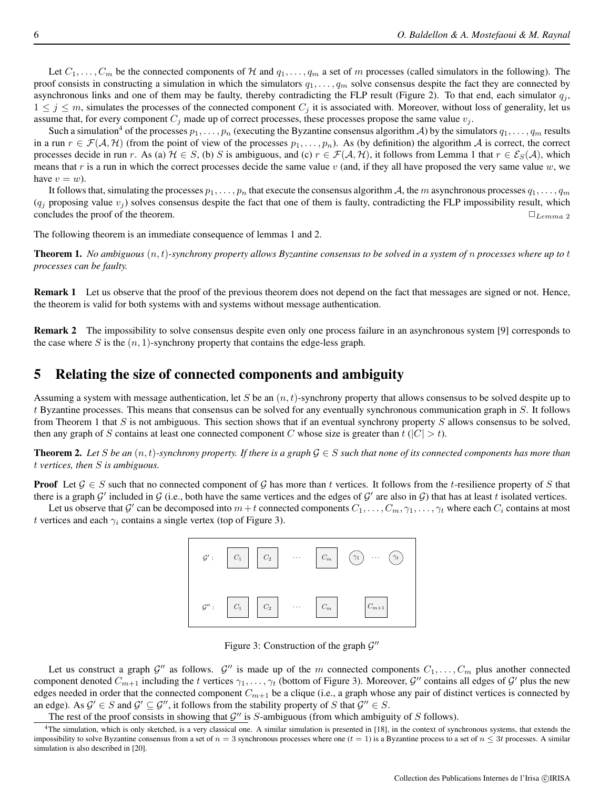Let  $C_1, \ldots, C_m$  be the connected components of H and  $q_1, \ldots, q_m$  a set of m processes (called simulators in the following). The proof consists in constructing a simulation in which the simulators  $q_1, \ldots, q_m$  solve consensus despite the fact they are connected by asynchronous links and one of them may be faulty, thereby contradicting the FLP result (Figure 2). To that end, each simulator  $q_j$ ,  $1 \leq j \leq m$ , simulates the processes of the connected component  $C_j$  it is associated with. Moreover, without loss of generality, let us assume that, for every component  $C_j$  made up of correct processes, these processes propose the same value  $v_j$ .

Such a simulation<sup>4</sup> of the processes  $p_1, \ldots, p_n$  (executing the Byzantine consensus algorithm A) by the simulators  $q_1, \ldots, q_m$  results in a run  $r \in \mathcal{F}(\mathcal{A}, \mathcal{H})$  (from the point of view of the processes  $p_1, \ldots, p_n$ ). As (by definition) the algorithm  $\mathcal{A}$  is correct, the correct processes decide in run r. As (a)  $H \in S$ , (b) S is ambiguous, and (c)  $r \in \mathcal{F}(\mathcal{A}, \mathcal{H})$ , it follows from Lemma 1 that  $r \in \mathcal{E}_S(\mathcal{A})$ , which means that r is a run in which the correct processes decide the same value  $v$  (and, if they all have proposed the very same value  $w$ , we have  $v = w$ ).

It follows that, simulating the processes  $p_1, \ldots, p_n$  that execute the consensus algorithm A, the m asynchronous processes  $q_1, \ldots, q_m$  $(q_i$  proposing value  $v_i$ ) solves consensus despite the fact that one of them is faulty, contradicting the FLP impossibility result, which concludes the proof of the theorem. ✷Lemma <sup>2</sup>

The following theorem is an immediate consequence of lemmas 1 and 2.

Theorem 1. *No ambiguous* (n, t)*-synchrony property allows Byzantine consensus to be solved in a system of* n *processes where up to* t *processes can be faulty.*

Remark 1 Let us observe that the proof of the previous theorem does not depend on the fact that messages are signed or not. Hence, the theorem is valid for both systems with and systems without message authentication.

Remark 2 The impossibility to solve consensus despite even only one process failure in an asynchronous system [9] corresponds to the case where S is the  $(n, 1)$ -synchrony property that contains the edge-less graph.

#### 5 Relating the size of connected components and ambiguity

Assuming a system with message authentication, let S be an  $(n, t)$ -synchrony property that allows consensus to be solved despite up to  $t$  Byzantine processes. This means that consensus can be solved for any eventually synchronous communication graph in  $S$ . It follows from Theorem 1 that S is not ambiguous. This section shows that if an eventual synchrony property S allows consensus to be solved, then any graph of S contains at least one connected component C whose size is greater than  $t$  ( $|C| > t$ ).

**Theorem 2.** Let S be an  $(n, t)$ -synchrony property. If there is a graph  $G \in S$  such that none of its connected components has more than t *vertices, then* S *is ambiguous.*

**Proof** Let  $\mathcal{G} \in S$  such that no connected component of  $\mathcal{G}$  has more than t vertices. It follows from the t-resilience property of S that there is a graph  $\mathcal{G}'$  included in  $\mathcal{G}$  (i.e., both have the same vertices and the edges of  $\mathcal{G}'$  are also in  $\mathcal{G}$ ) that has at least t isolated vertices.

Let us observe that  $\mathcal{G}'$  can be decomposed into  $m+t$  connected components  $C_1,\ldots,C_m,\gamma_1,\ldots,\gamma_t$  where each  $C_i$  contains at most t vertices and each  $\gamma_i$  contains a single vertex (top of Figure 3).



Figure 3: Construction of the graph  $\mathcal{G}''$ 

Let us construct a graph  $\mathcal{G}''$  as follows.  $\mathcal{G}''$  is made up of the m connected components  $C_1, \ldots, C_m$  plus another connected component denoted  $C_{m+1}$  including the t vertices  $\gamma_1, \ldots, \gamma_t$  (bottom of Figure 3). Moreover,  $\mathcal{G}''$  contains all edges of  $\mathcal{G}'$  plus the new edges needed in order that the connected component  $C_{m+1}$  be a clique (i.e., a graph whose any pair of distinct vertices is connected by an edge). As  $\mathcal{G}' \in S$  and  $\mathcal{G}' \subseteq \mathcal{G}''$ , it follows from the stability property of S that  $\mathcal{G}'' \in S$ .

The rest of the proof consists in showing that  $\mathcal{G}''$  is S-ambiguous (from which ambiguity of S follows).

 $^{4}$ The simulation, which is only sketched, is a very classical one. A similar simulation is presented in [18], in the context of synchronous systems, that extends the impossibility to solve Byzantine consensus from a set of  $n = 3$  synchronous processes where one  $(t = 1)$  is a Byzantine process to a set of  $n \leq 3t$  processes. A similar simulation is also described in [20].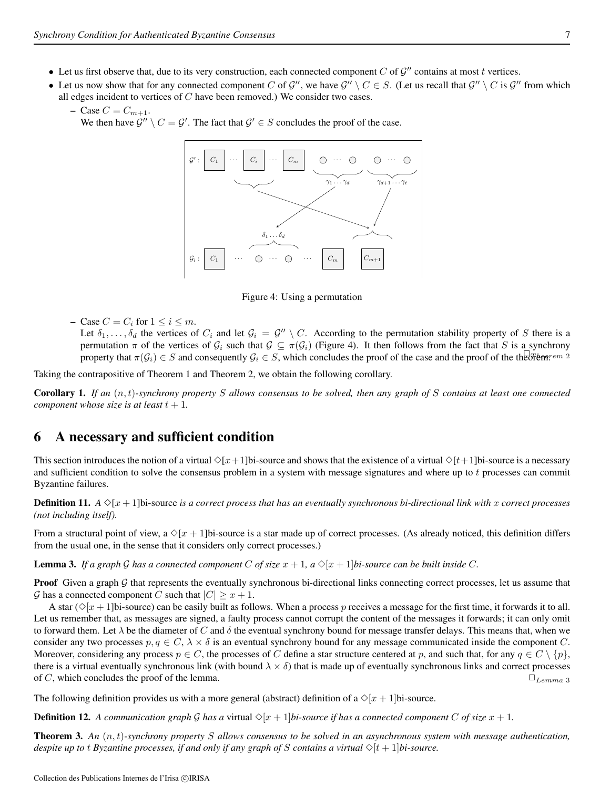- Let us first observe that, due to its very construction, each connected component  $C$  of  $\mathcal{G}''$  contains at most  $t$  vertices.
- Let us now show that for any connected component C of  $\mathcal{G}''$ , we have  $\mathcal{G}'' \setminus C \in S$ . (Let us recall that  $\mathcal{G}'' \setminus C$  is  $\mathcal{G}''$  from which all edges incident to vertices of  $C$  have been removed.) We consider two cases.
	- Case  $C = C_{m+1}$ . We then have  $\mathcal{G}'' \setminus C = \mathcal{G}'$ . The fact that  $\mathcal{G}' \in S$  concludes the proof of the case.



Figure 4: Using a permutation

– Case  $C = C_i$  for  $1 \le i \le m$ .

Let  $\delta_1, \ldots, \delta_d$  the vertices of  $C_i$  and let  $\mathcal{G}_i = \mathcal{G}'' \setminus C$ . According to the permutation stability property of S there is a permutation  $\pi$  of the vertices of  $\mathcal{G}_i$  such that  $\mathcal{G} \subseteq \pi(\mathcal{G}_i)$  (Figure 4). It then follows from the fact that S is a synchrony property that  $\pi(G_i) \in S$  and consequently  $G_i \in S$ , which concludes the proof of the case and the proof of the theorem 2

Taking the contrapositive of Theorem 1 and Theorem 2, we obtain the following corollary.

Corollary 1. *If an* (n, t)*-synchrony property* S *allows consensus to be solved, then any graph of* S *contains at least one connected component whose size is at least*  $t + 1$ *.* 

## 6 A necessary and sufficient condition

This section introduces the notion of a virtual  $\Diamond [x+1]$ bi-source and shows that the existence of a virtual  $\Diamond [t+1]$ bi-source is a necessary and sufficient condition to solve the consensus problem in a system with message signatures and where up to t processes can commit Byzantine failures.

**Definition 11.**  $A \diamond [x+1]$ bi-source *is a correct process that has an eventually synchronous bi-directional link with* x *correct processes (not including itself).*

From a structural point of view, a  $\Diamond [x + 1]$ bi-source is a star made up of correct processes. (As already noticed, this definition differs from the usual one, in the sense that it considers only correct processes.)

**Lemma 3.** If a graph G has a connected component C of size  $x + 1$ ,  $a \Diamond [x + 1]$ bi-source can be built inside C.

**Proof** Given a graph G that represents the eventually synchronous bi-directional links connecting correct processes, let us assume that G has a connected component C such that  $|C| \geq x + 1$ .

A star ( $\Diamond [x + 1]$ bi-source) can be easily built as follows. When a process p receives a message for the first time, it forwards it to all. Let us remember that, as messages are signed, a faulty process cannot corrupt the content of the messages it forwards; it can only omit to forward them. Let  $\lambda$  be the diameter of C and  $\delta$  the eventual synchrony bound for message transfer delays. This means that, when we consider any two processes  $p, q \in C$ ,  $\lambda \times \delta$  is an eventual synchrony bound for any message communicated inside the component C. Moreover, considering any process  $p \in C$ , the processes of C define a star structure centered at p, and such that, for any  $q \in C \setminus \{p\}$ , there is a virtual eventually synchronous link (with bound  $\lambda \times \delta$ ) that is made up of eventually synchronous links and correct processes of C, which concludes the proof of the lemma. ✷Lemma <sup>3</sup>

The following definition provides us with a more general (abstract) definition of a  $\Diamond [x + 1]$ bi-source.

**Definition 12.** A communication graph G has a virtual  $\Diamond$ [x + 1]*bi-source if has a connected component* C of size  $x + 1$ .

Theorem 3. *An* (n, t)*-synchrony property* S *allows consensus to be solved in an asynchronous system with message authentication, despite up to t Byzantine processes, if and only if any graph of* S *contains a virtual*  $\Diamond$ [ $t$  + 1]*bi-source.*